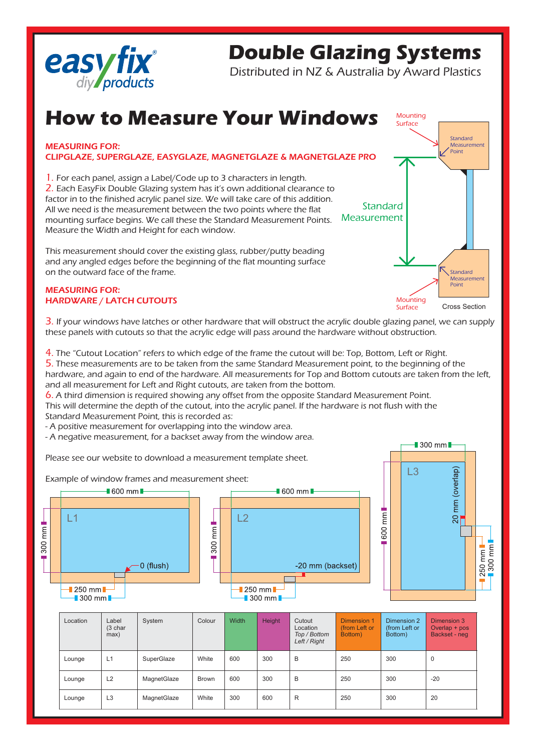

## **Double Glazing Systems**

Distributed in NZ & Australia by Award Plastics

## **How to Measure Your Windows**

## MEASURING FOR: CLIPGLAZE, SUPERGLAZE, EASYGLAZE, MAGNETGLAZE & MAGNETGLAZE PRO

1. For each panel, assign a Label/Code up to 3 characters in length. 2. Each EasyFix Double Glazing system has it's own additional clearance to factor in to the finished acrylic panel size. We will take care of this addition. All we need is the measurement between the two points where the flat mounting surface begins. We call these the Standard Measurement Points. Measure the Width and Height for each window.

This measurement should cover the existing glass, rubber/putty beading and any angled edges before the beginning of the flat mounting surface on the outward face of the frame.

## MEASURING FOR: HARDWARE / LATCH CUTOUTS



3. If your windows have latches or other hardware that will obstruct the acrylic double glazing panel, we can supply these panels with cutouts so that the acrylic edge will pass around the hardware without obstruction.

4. The "Cutout Location" refers to which edge of the frame the cutout will be: Top, Bottom, Left or Right. 5. These measurements are to be taken from the same Standard Measurement point, to the beginning of the hardware, and again to end of the hardware. All measurements for Top and Bottom cutouts are taken from the left, and all measurement for Left and Right cutouts, are taken from the bottom.

6. A third dimension is required showing any offset from the opposite Standard Measurement Point. This will determine the depth of the cutout, into the acrylic panel. If the hardware is not flush with the Standard Measurement Point, this is recorded as:

- A positive measurement for overlapping into the window area.

- A negative measurement, for a backset away from the window area.

Please see our website to download a measurement template sheet.





| Location | Label<br>(3 char<br>max) | System      | Colour       | Width | Height | Cutout<br>Location<br>Top / Bottom<br>Left / Right | Dimension 1<br>(from Left or<br>Bottom) | Dimension 2<br>(from Left or<br>Bottom) | Dimension 3<br>Overlap + pos<br>Backset - neg |
|----------|--------------------------|-------------|--------------|-------|--------|----------------------------------------------------|-----------------------------------------|-----------------------------------------|-----------------------------------------------|
| Lounge   | L1                       | SuperGlaze  | White        | 600   | 300    | B                                                  | 250                                     | 300                                     | $\mathbf 0$                                   |
| Lounge   | L <sub>2</sub>           | MagnetGlaze | <b>Brown</b> | 600   | 300    | B                                                  | 250                                     | 300                                     | $-20$                                         |
| Lounge   | L <sub>3</sub>           | MagnetGlaze | White        | 300   | 600    | R                                                  | 250                                     | 300                                     | 20                                            |